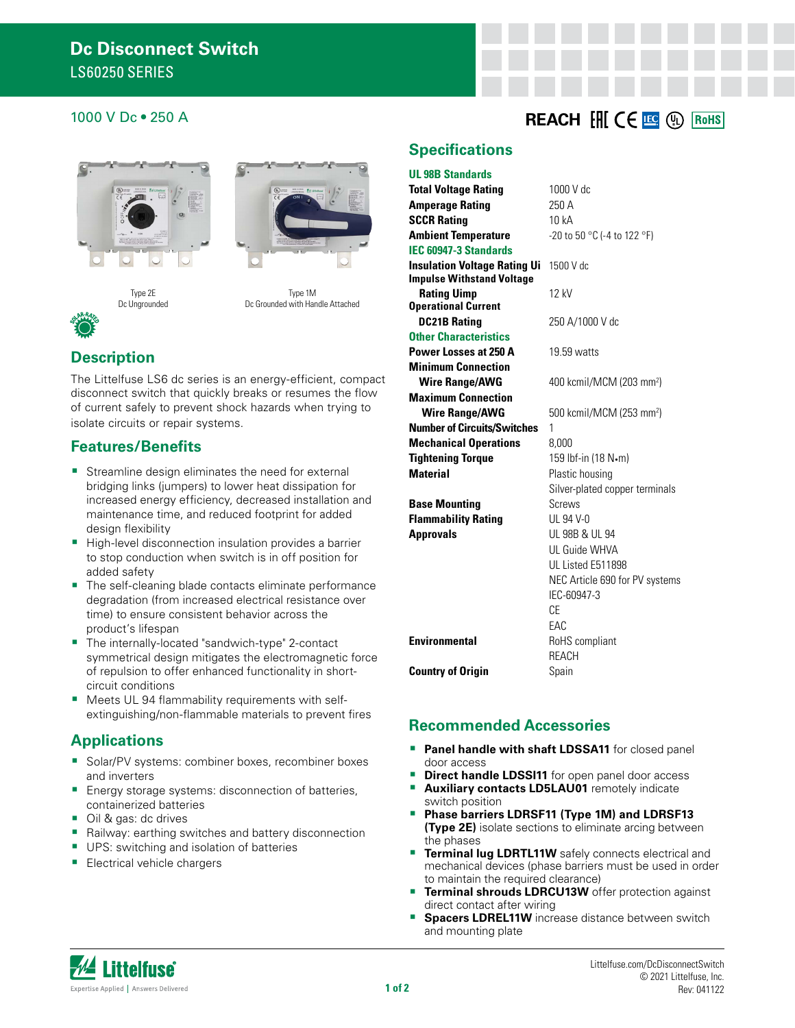### **1000 V Dc • 250 A REACH FOR EXAMPLE PROPERTY REACH FOR CHILIC C FOR THE REACH FOR THE REACH FOR THE REACH FOR THE REACH FOR THE REACH FOR THE REACH FOR THE REACH FOR THE REACH FOR THE REACH FOR THE REACH FOR THE REACH F**







Type 1M Dc Grounded with Handle Attached

## **Description**

The Littelfuse LS6 dc series is an energy-efficient, compact disconnect switch that quickly breaks or resumes the flow of current safely to prevent shock hazards when trying to isolate circuits or repair systems.

#### **Features/Benefits**

- Streamline design eliminates the need for external bridging links (jumpers) to lower heat dissipation for increased energy efficiency, decreased installation and maintenance time, and reduced footprint for added design flexibility
- High-level disconnection insulation provides a barrier to stop conduction when switch is in off position for added safety
- The self-cleaning blade contacts eliminate performance degradation (from increased electrical resistance over time) to ensure consistent behavior across the product's lifespan
- The internally-located "sandwich-type" 2-contact symmetrical design mitigates the electromagnetic force of repulsion to offer enhanced functionality in shortcircuit conditions
- Meets UL 94 flammability requirements with selfextinguishing/non-flammable materials to prevent fires

#### **Applications**

- **Solar/PV systems: combiner boxes, recombiner boxes** and inverters
- Energy storage systems: disconnection of batteries, containerized batteries
- Oil & gas: dc drives
- Railway: earthing switches and battery disconnection
- UPS: switching and isolation of batteries
- **Electrical vehicle chargers**

#### **Specifications**

#### **UL 98B Standards**

| <b>Total Voltage Rating</b>                                             | $1000$ V dc                          |  |  |
|-------------------------------------------------------------------------|--------------------------------------|--|--|
| <b>Amperage Rating</b>                                                  | 250 A                                |  |  |
| <b>SCCR Rating</b>                                                      | 10 kA                                |  |  |
| <b>Ambient Temperature</b>                                              | -20 to 50 °C (-4 to 122 °F)          |  |  |
| <b>IEC 60947-3 Standards</b>                                            |                                      |  |  |
| <b>Insulation Voltage Rating Ui</b><br><b>Impulse Withstand Voltage</b> | 1500 V dc                            |  |  |
| <b>Rating Uimp</b>                                                      | 12 kV                                |  |  |
| <b>Operational Current</b>                                              |                                      |  |  |
| <b>DC21B Rating</b>                                                     | 250 A/1000 V dc                      |  |  |
| <b>Other Characteristics</b>                                            |                                      |  |  |
| Power Losses at 250 A                                                   | 19.59 watts                          |  |  |
| <b>Minimum Connection</b>                                               |                                      |  |  |
| <b>Wire Range/AWG</b>                                                   | 400 kcmil/MCM (203 mm <sup>2</sup> ) |  |  |
| <b>Maximum Connection</b>                                               |                                      |  |  |
| <b>Wire Range/AWG</b>                                                   | 500 kcmil/MCM (253 mm <sup>2</sup> ) |  |  |
| <b>Number of Circuits/Switches</b>                                      | 1                                    |  |  |
| <b>Mechanical Operations</b>                                            | 8.000                                |  |  |
| <b>Tightening Torque</b>                                                | 159 lbf-in (18 N•m)                  |  |  |
| <b>Material</b>                                                         | Plastic housing                      |  |  |
|                                                                         | Silver-plated copper terminals       |  |  |
| <b>Base Mounting</b>                                                    | Screws                               |  |  |
| <b>Flammability Rating</b>                                              | UL 94 V-0                            |  |  |
| <b>Approvals</b>                                                        | UL 98B & UL 94                       |  |  |
|                                                                         | UL Guide WHVA                        |  |  |
|                                                                         | UL Listed E511898                    |  |  |
|                                                                         | NEC Article 690 for PV systems       |  |  |
|                                                                         | IEC-60947-3                          |  |  |
|                                                                         | CF.                                  |  |  |
|                                                                         | FAC                                  |  |  |
| <b>Environmental</b>                                                    | RoHS compliant                       |  |  |
|                                                                         | <b>RFACH</b>                         |  |  |
| <b>Country of Origin</b>                                                | Spain                                |  |  |

#### **Recommended Accessories**

- **Panel handle with shaft LDSSA11** for closed panel door access
- **Direct handle LDSSI11** for open panel door access
- **Auxiliary contacts LD5LAU01** remotely indicate switch position
- **Phase barriers LDRSF11 (Type 1M) and LDRSF13 (Type 2E)** isolate sections to eliminate arcing between the phases
- **Terminal lug LDRTL11W** safely connects electrical and a. mechanical devices (phase barriers must be used in order to maintain the required clearance)
- **Terminal shrouds LDRCU13W** offer protection against direct contact after wiring
- Ì. **Spacers LDREL11W** increase distance between switch and mounting plate